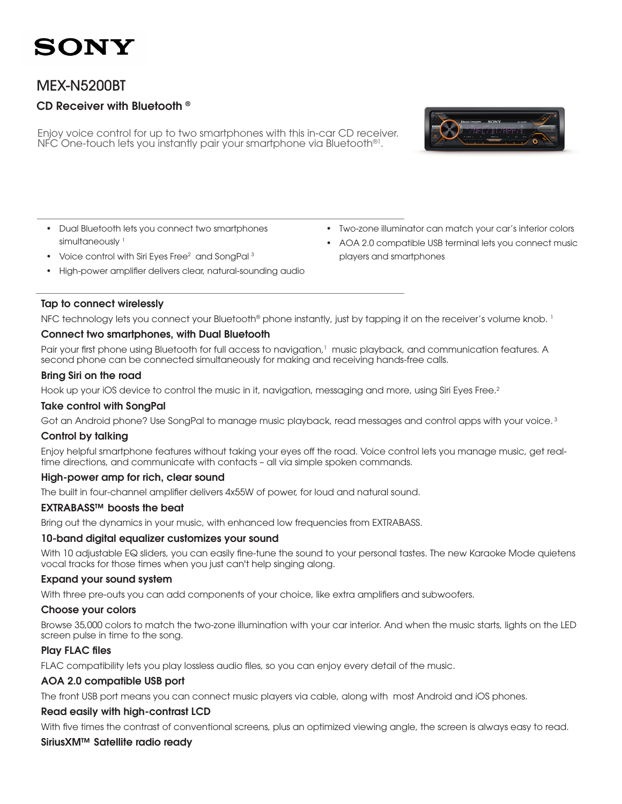### SONY

### MEX-N5200BT

### CD Receiver with Bluetooth ®

Enjoy voice control for up to two smartphones with this in-car CD receiver. NFC One-touch lets you instantly pair your smartphone via Bluetooth®1.



- Dual Bluetooth lets you connect two smartphones simultaneously<sup>1</sup>
- Voice control with Siri Eyes Free $^2$  and SongPal  $^3$
- High-power amplifier delivers clear, natural-sounding audio

#### • Two-zone illuminator can match your car's interior colors

• AOA 2.0 compatible USB terminal lets you connect music players and smartphones

#### Tap to connect wirelessly

NFC technology lets you connect your Bluetooth<sup>®</sup> phone instantly, just by tapping it on the receiver's volume knob. <sup>1</sup>

#### Connect two smartphones, with Dual Bluetooth

Pair your first phone using Bluetooth for full access to navigation,<sup>1</sup> music playback, and communication features. A second phone can be connected simultaneously for making and receiving hands-free calls.

#### Bring Siri on the road

Hook up your iOS device to control the music in it, navigation, messaging and more, using Siri Eyes Free.<sup>2</sup>

#### Take control with SongPal

Got an Android phone? Use SongPal to manage music playback, read messages and control apps with your voice.<sup>3</sup>

#### Control by talking

Enjoy helpful smartphone features without taking your eyes off the road. Voice control lets you manage music, get realtime directions, and communicate with contacts – all via simple spoken commands.

#### High-power amp for rich, clear sound

The built in four-channel amplifier delivers 4x55W of power, for loud and natural sound.

#### EXTRABASS™ boosts the beat

Bring out the dynamics in your music, with enhanced low frequencies from EXTRABASS.

#### 10-band digital equalizer customizes your sound

With 10 adjustable EQ sliders, you can easily fine-tune the sound to your personal tastes. The new Karaoke Mode quietens vocal tracks for those times when you just can't help singing along.

#### Expand your sound system

With three pre-outs you can add components of your choice, like extra amplifiers and subwoofers.

#### Choose your colors

Browse 35,000 colors to match the two-zone illumination with your car interior. And when the music starts, lights on the LED screen pulse in time to the song.

#### Play FLAC files

FLAC compatibility lets you play lossless audio files, so you can enjoy every detail of the music.

#### AOA 2.0 compatible USB port

The front USB port means you can connect music players via cable, along with most Android and iOS phones.

#### Read easily with high-contrast LCD

With five times the contrast of conventional screens, plus an optimized viewing angle, the screen is always easy to read.

#### SiriusXM™ Satellite radio ready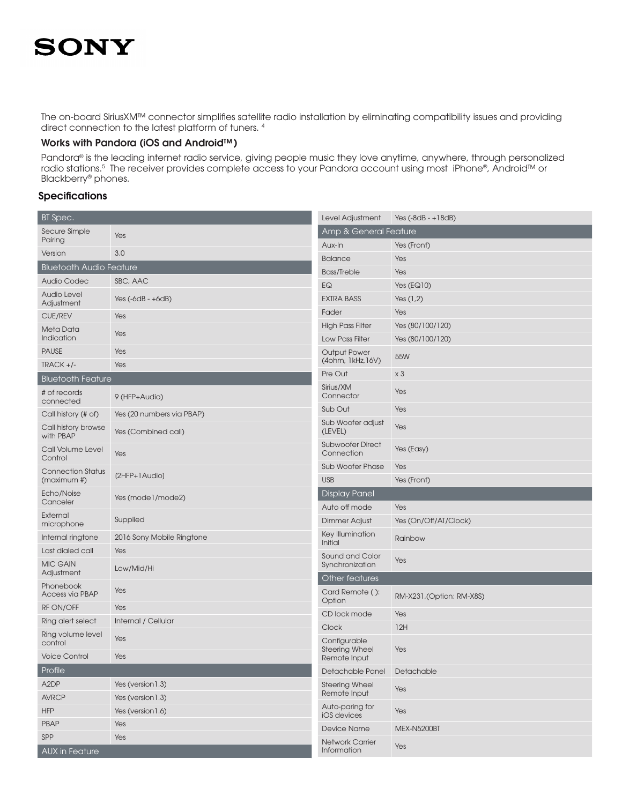# **SONY**

The on-board SiriusXM™ connector simplifies satellite radio installation by eliminating compatibility issues and providing direct connection to the latest platform of tuners. 4

#### Works with Pandora (iOS and Android™)

Pandora® is the leading internet radio service, giving people music they love anytime, anywhere, through personalized radio stations.<sup>5</sup> The receiver provides complete access to your Pandora account using most iPhone®, Android™ or Blackberry® phones.

#### **Specifications**

| BT Spec.                                |                           | Level Adjustment                         | Yes $(-8dB - +18dB)$      |  |  |
|-----------------------------------------|---------------------------|------------------------------------------|---------------------------|--|--|
| Secure Simple<br>Pairing                | Yes                       | <b>Amp &amp; General Feature</b>         |                           |  |  |
| Version                                 | 3.0                       | Aux-In                                   | Yes (Front)               |  |  |
| <b>Bluetooth Audio Feature</b>          |                           | <b>Balance</b>                           | Yes                       |  |  |
| <b>Audio Codec</b>                      | SBC, AAC                  | <b>Bass/Treble</b>                       | Yes                       |  |  |
| <b>Audio Level</b>                      |                           | EQ                                       | Yes $(EQ10)$              |  |  |
| Adjustment                              | Yes $(-6dB - +6dB)$       | <b>EXTRA BASS</b>                        | Yes $(1,2)$               |  |  |
| <b>CUE/REV</b>                          | Yes                       | Fader                                    | Yes                       |  |  |
| Meta Data                               | Yes                       | <b>High Pass Filter</b>                  | Yes (80/100/120)          |  |  |
| Indication                              |                           | Low Pass Filter                          | Yes (80/100/120)          |  |  |
| <b>PAUSE</b>                            | Yes                       | <b>Output Power</b><br>(40hm, 1kHz, 16V) | 55W                       |  |  |
| $TRACK +/-$                             | Yes                       | Pre Out                                  | x <sub>3</sub>            |  |  |
| <b>Bluetooth Feature</b>                |                           | Sirius/XM                                |                           |  |  |
| # of records<br>connected               | 9 (HFP+Audio)             | Connector                                | Yes                       |  |  |
| Call history (# of)                     | Yes (20 numbers via PBAP) | Sub Out                                  | Yes                       |  |  |
| Call history browse<br>with PBAP        | Yes (Combined call)       | Sub Woofer adjust<br>(LEVEL)             | Yes                       |  |  |
| Call Volume Level<br>Control            | Yes                       | <b>Subwoofer Direct</b><br>Connection    | Yes (Easy)                |  |  |
| <b>Connection Status</b><br>(maximum #) | (2HFP+1Audio)             | <b>Sub Woofer Phase</b>                  | Yes                       |  |  |
|                                         |                           | <b>USB</b>                               | Yes (Front)               |  |  |
| Echo/Noise<br>Canceler                  | Yes (mode1/mode2)         | <b>Display Panel</b>                     |                           |  |  |
| External                                | Supplied                  | Auto off mode                            | Yes                       |  |  |
| microphone                              |                           | Dimmer Adjust                            | Yes (On/Off/AT/Clock)     |  |  |
| Internal ringtone                       | 2016 Sony Mobile Ringtone | Key Illumination<br>Initial              | Rainbow                   |  |  |
| Last dialed call                        | Yes                       | Sound and Color                          |                           |  |  |
| <b>MIC GAIN</b><br>Adjustment           | Low/Mid/Hi                | Synchronization<br>Other features        | Yes                       |  |  |
| Phonebook<br><b>Access via PBAP</b>     | Yes                       | Card Remote ():                          | RM-X231, (Option: RM-X8S) |  |  |
| RF ON/OFF                               | Yes                       | Option                                   |                           |  |  |
| Ring alert select                       | Internal / Cellular       | CD lock mode                             | Yes                       |  |  |
| Ring volume level<br>control            | Yes                       | <b>Clock</b><br>Configurable             | 12H                       |  |  |
| <b>Voice Control</b>                    | Yes                       | <b>Steering Wheel</b><br>Remote Input    | Yes                       |  |  |
| Profile                                 |                           | Detachable Panel                         | Detachable                |  |  |
| A <sub>2</sub> DP                       | Yes (version1.3)          | <b>Steering Wheel</b>                    | Yes                       |  |  |
| <b>AVRCP</b>                            | Yes (version 1.3)         | Remote Input                             |                           |  |  |
| <b>HFP</b>                              | Yes (version1.6)          | Auto-paring for<br><b>iOS</b> devices    | Yes                       |  |  |
| PBAP                                    | Yes                       | <b>Device Name</b>                       | MEX-N5200BT               |  |  |
| SPP                                     | Yes                       | <b>Network Carrier</b>                   |                           |  |  |
| <b>AUX</b> in Feature                   |                           | Information                              | Yes                       |  |  |
|                                         |                           |                                          |                           |  |  |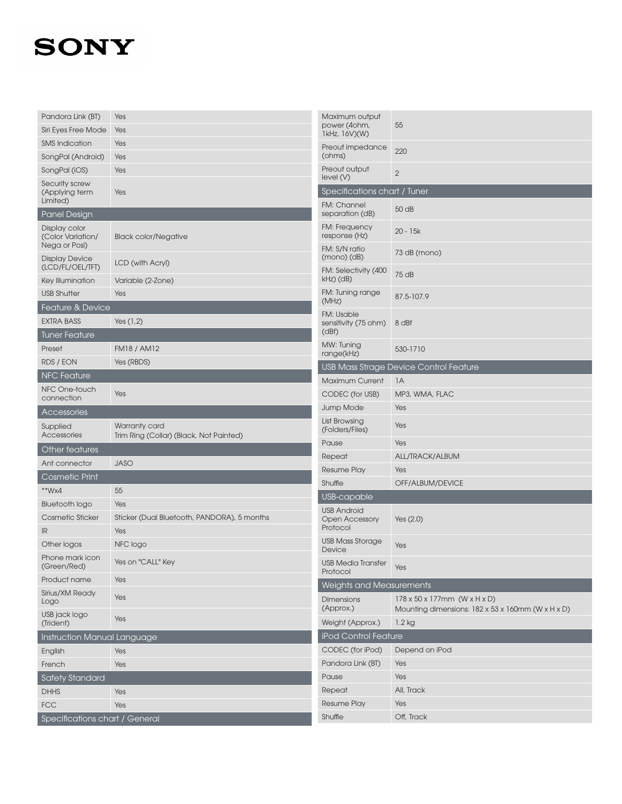## **SONY**

| Pandora Link (BT)                                   | Yes                                                      | Maximum output                              |                                                                                                              |
|-----------------------------------------------------|----------------------------------------------------------|---------------------------------------------|--------------------------------------------------------------------------------------------------------------|
| Siri Eyes Free Mode                                 | Yes                                                      | power (4ohm,<br>1kHz, 16V)(W)               | 55                                                                                                           |
| <b>SMS Indication</b>                               | Yes                                                      | Preout impedance                            |                                                                                                              |
| SongPal (Android)                                   | Yes                                                      | (ohms)                                      | 220                                                                                                          |
| SongPal (iOS)                                       | Yes                                                      | Preout output<br>level(V)                   | $\overline{2}$                                                                                               |
| Security screw<br>(Applying term                    | Yes                                                      | Specifications chart / Tuner                |                                                                                                              |
| Limited)                                            |                                                          | FM: Channel                                 |                                                                                                              |
| Panel Design                                        |                                                          | separation (dB)                             | 50 dB                                                                                                        |
| Display color<br>(Color Variation/<br>Nega or Posi) | <b>Black color/Negative</b>                              | FM: Frequency<br>response (Hz)              | $20 - 15k$                                                                                                   |
| <b>Display Device</b>                               | LCD (with Acryl)                                         | FM: S/N ratio<br>$(mono)$ $(dB)$            | 73 dB (mono)                                                                                                 |
| (LCD/FL/OEL/TFT)<br>Key Illumination                | Variable (2-Zone)                                        | FM: Selectivity (400<br>kHz) (dB)           | 75 dB                                                                                                        |
| <b>USB Shutter</b>                                  | Yes                                                      | FM: Tuning range                            |                                                                                                              |
| <b>Feature &amp; Device</b>                         |                                                          | (MHz)                                       | 87.5-107.9                                                                                                   |
| <b>EXTRA BASS</b>                                   | Yes $(1,2)$                                              | FM: Usable                                  |                                                                                                              |
| <b>Tuner Feature</b>                                |                                                          | sensitivity (75 ohm)<br>(dBf)               | 8 dBf                                                                                                        |
| Preset                                              | <b>FM18 / AM12</b>                                       | MW: Tuning                                  | 530-1710                                                                                                     |
| <b>RDS / EON</b>                                    | Yes (RBDS)                                               | range(kHz)                                  |                                                                                                              |
| <b>NFC Feature</b>                                  |                                                          |                                             | USB Mass Strage Device Control Feature                                                                       |
| NFC One-touch                                       |                                                          | <b>Maximum Current</b>                      | 1A                                                                                                           |
| connection                                          | Yes                                                      | CODEC (for USB)                             | MP3, WMA, FLAC                                                                                               |
| Accessories                                         |                                                          | <b>Jump Mode</b>                            | Yes                                                                                                          |
| Supplied<br>Accessories                             | Warranty card<br>Trim Ring (Collar) (Black, Not Painted) | List Browsing<br>(Folders/Files)            | Yes                                                                                                          |
| Other features                                      |                                                          | Pause                                       | Yes                                                                                                          |
| Ant connector                                       | <b>JASO</b>                                              | Repeat                                      | ALL/TRACK/ALBUM                                                                                              |
| Cosmetic Print                                      |                                                          | <b>Resume Play</b>                          | Yes                                                                                                          |
| **Wx4                                               | 55                                                       | Shuffle                                     | OFF/ALBUM/DEVICE                                                                                             |
| <b>Bluetooth logo</b>                               | Yes                                                      | USB-capable                                 |                                                                                                              |
| <b>Cosmetic Sticker</b>                             | Sticker (Dual Bluetooth, PANDORA), 5 months              | <b>USB Android</b><br><b>Open Accessory</b> | Yes $(2.0)$                                                                                                  |
| IR                                                  | Yes                                                      | Protocol                                    |                                                                                                              |
| Other logos                                         | NFC logo                                                 | <b>USB Mass Storage</b><br>Device           | Yes                                                                                                          |
| Phone mark icon<br>(Green/Red)                      | Yes on "CALL" Key                                        | <b>USB Media Transfer</b><br>Protocol       | Yes                                                                                                          |
| Product name                                        | Yes                                                      | Weights and Measurements                    |                                                                                                              |
| Sirius/XM Ready<br>Logo                             | Yes                                                      | <b>Dimensions</b><br>(Approx.)              | 178 x 50 x 177mm (W x H x D)<br>Mounting dimensions: $182 \times 53 \times 160$ mm (W $\times$ H $\times$ D) |
| USB jack logo<br>(Trident)                          | Yes                                                      | Weight (Approx.)                            | $1.2$ kg                                                                                                     |
| Instruction Manual Language                         |                                                          | iPod Control Feature                        |                                                                                                              |
| English                                             | Yes                                                      | CODEC (for iPod)                            | Depend on iPod                                                                                               |
| French                                              | Yes                                                      | Pandora Link (BT)                           | Yes                                                                                                          |
| <b>Safety Standard</b>                              |                                                          | Pause                                       | Yes                                                                                                          |
| <b>DHHS</b>                                         | Yes                                                      | Repeat                                      | All, Track                                                                                                   |
| <b>FCC</b>                                          | Yes                                                      | <b>Resume Play</b>                          | Yes                                                                                                          |
| Specifications chart / General                      |                                                          | Shuffle                                     | Off, Track                                                                                                   |